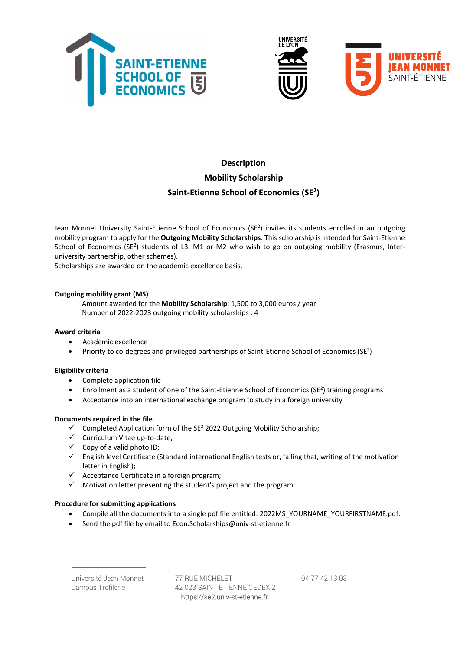



# Description Mobility Scholarship Saint-Etienne School of Economics (SE<sup>2</sup>)

Jean Monnet University Saint-Etienne School of Economics (SE<sup>2</sup>) invites its students enrolled in an outgoing mobility program to apply for the Outgoing Mobility Scholarships. This scholarship is intended for Saint-Etienne School of Economics (SE<sup>2</sup>) students of L3, M1 or M2 who wish to go on outgoing mobility (Erasmus, Interuniversity partnership, other schemes).

Scholarships are awarded on the academic excellence basis.

## Outgoing mobility grant (MS)

Amount awarded for the Mobility Scholarship: 1,500 to 3,000 euros / year Number of 2022-2023 outgoing mobility scholarships : 4

#### Award criteria

- Academic excellence
- Priority to co-degrees and privileged partnerships of Saint-Etienne School of Economics ( $SE^2$ )

#### Eligibility criteria

- Complete application file
- **•** Enrollment as a student of one of the Saint-Etienne School of Economics ( $SE^2$ ) training programs
- Acceptance into an international exchange program to study in a foreign university

#### Documents required in the file

- $\checkmark$  Completed Application form of the SE<sup>2</sup> 2022 Outgoing Mobility Scholarship;
- $\checkmark$  Curriculum Vitae up-to-date;
- $\checkmark$  Copy of a valid photo ID;
- $\checkmark$  English level Certificate (Standard international English tests or, failing that, writing of the motivation letter in English);
- $\checkmark$  Acceptance Certificate in a foreign program;
- $\checkmark$  Motivation letter presenting the student's project and the program

## Procedure for submitting applications

- Compile all the documents into a single pdf file entitled: 2022MS\_YOURNAME\_YOURFIRSTNAME.pdf.
- Send the pdf file by email to Econ.Scholarships@univ-st-etienne.fr

Université Jean Monnet 77 RUE MICHELET 04 77 42 13 03 Campus Tréfilerie 42 023 SAINT ETIENNE CEDEX 2 https://se2.univ-st-etienne.fr